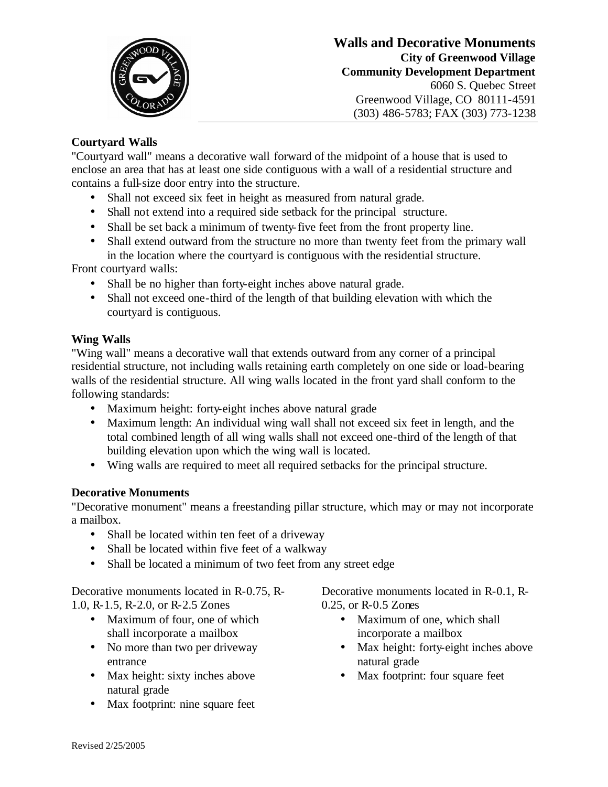

## **Walls and Decorative Monuments City of Greenwood Village Community Development Department** 6060 S. Quebec Street Greenwood Village, CO 80111-4591 (303) 486-5783; FAX (303) 773-1238

## **Courtyard Walls**

"Courtyard wall" means a decorative wall forward of the midpoint of a house that is used to enclose an area that has at least one side contiguous with a wall of a residential structure and contains a full-size door entry into the structure.

- Shall not exceed six feet in height as measured from natural grade.
- Shall not extend into a required side setback for the principal structure.
- Shall be set back a minimum of twenty-five feet from the front property line.
- Shall extend outward from the structure no more than twenty feet from the primary wall in the location where the courtyard is contiguous with the residential structure.

Front courtyard walls:

- Shall be no higher than forty-eight inches above natural grade.
- Shall not exceed one-third of the length of that building elevation with which the courtyard is contiguous.

## **Wing Walls**

"Wing wall" means a decorative wall that extends outward from any corner of a principal residential structure, not including walls retaining earth completely on one side or load-bearing walls of the residential structure. All wing walls located in the front yard shall conform to the following standards:

- Maximum height: forty-eight inches above natural grade
- Maximum length: An individual wing wall shall not exceed six feet in length, and the total combined length of all wing walls shall not exceed one-third of the length of that building elevation upon which the wing wall is located.
- Wing walls are required to meet all required setbacks for the principal structure.

## **Decorative Monuments**

"Decorative monument" means a freestanding pillar structure, which may or may not incorporate a mailbox.

- Shall be located within ten feet of a driveway
- Shall be located within five feet of a walkway
- Shall be located a minimum of two feet from any street edge

Decorative monuments located in R-0.75, R-1.0, R-1.5, R-2.0, or R-2.5 Zones

- Maximum of four, one of which shall incorporate a mailbox
- No more than two per driveway entrance
- Max height: sixty inches above natural grade
- Max footprint: nine square feet

Decorative monuments located in R-0.1, R-0.25, or R-0.5 Zones

- Maximum of one, which shall incorporate a mailbox
- Max height: forty-eight inches above natural grade
- Max footprint: four square feet